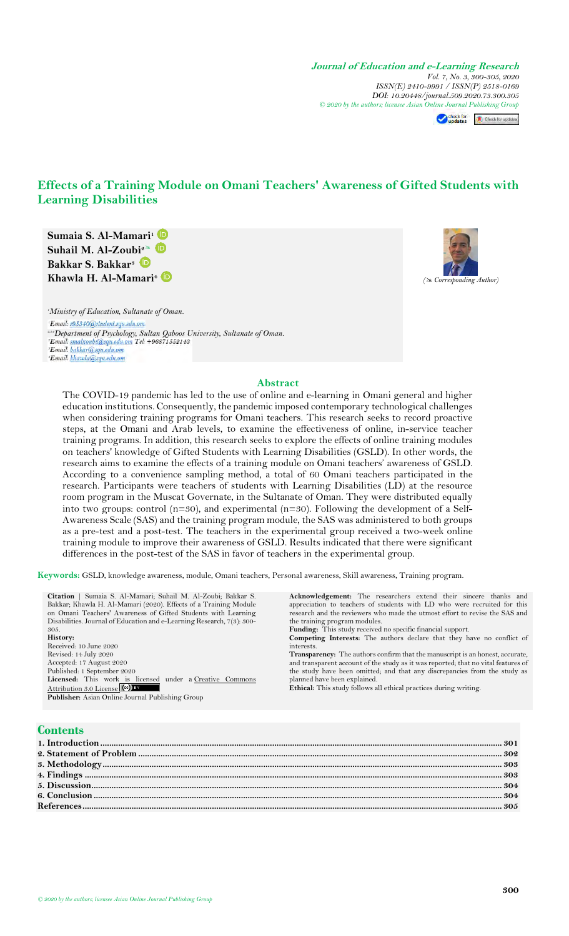**Journal of Education and e-Learning Research** *Vol. 7, No. 3, 300-305, 2020 ISSN(E) 2410-9991 / ISSN(P) 2518-0169 DOI: 10.20448/journal.509.2020.73.300.305 © 2020 by the authors; licensee Asian On[line Journal](https://www.asianonlinejournals.com/index.php/JEELR/article/view/2076) [Publishing Group](http://crossmark.crossref.org/dialog/?doi=10.20448/journal.509.2020.73.300.305&domain=pdf&date_stamp=2017-01-14)*

check for **II** Check for updates

# **Effects of a Training Module on Omani Teachers' Awareness of Gifted Students with Learning Disabilities**

**Sumaia S. Al-Mamari<sup>1</sup> Suhail M. Al-Zoub[i](https://orcid.org/0000-0001-5336-7912)<sup>2</sup> Bakkar S. Bakkar<sup>3</sup> Khawla H. Al-Mamari<sup>4</sup>***( Corresponding Author)*



*<sup>1</sup>Ministry of Education, Sultanate of Oman.* Email: s95340@student.squ.edu.om *2,3,4Department of Psychology, Sultan Qaboos University, Sultanate of Oman.* \*Email: khawla@squ.edu.om

#### **Abstract**

The COVID-19 pandemic has led to the use of online and e-learning in Omani general and higher education institutions. Consequently, the pandemic imposed contemporary technological challenges when considering training programs for Omani teachers. This research seeks to record proactive steps, at the Omani and Arab levels, to examine the effectiveness of online, in-service teacher training programs. In addition, this research seeks to explore the effects of online training modules on teachers' knowledge of Gifted Students with Learning Disabilities (GSLD). In other words, the research aims to examine the effects of a training module on Omani teachers' awareness of GSLD. According to a convenience sampling method, a total of 60 Omani teachers participated in the research. Participants were teachers of students with Learning Disabilities (LD) at the resource room program in the Muscat Governate, in the Sultanate of Oman. They were distributed equally into two groups: control  $(n=30)$ , and experimental  $(n=30)$ . Following the development of a Self-Awareness Scale (SAS) and the training program module, the SAS was administered to both groups as a pre-test and a post-test. The teachers in the experimental group received a two-week online training module to improve their awareness of GSLD. Results indicated that there were significant differences in the post-test of the SAS in favor of teachers in the experimental group.

**Keywords:** GSLD, knowledge awareness, module, Omani teachers, Personal awareness, Skill awareness, Training program.

**Citation** | Sumaia S. Al-Mamari; Suhail M. Al-Zoubi; Bakkar S. Bakkar; Khawla H. Al-Mamari (2020). Effects of a Training Module on Omani Teachers' Awareness of Gifted Students with Learning Disabilities. Journal of Education and e-Learning Research, 7(3): 300- 305. **History:** Received: 10 June 2020 Revised: 14 July 2020 Accepted: 17 August 2020 Published: 1 September 2020 Licensed: This work is licensed under a Creative Commons  $\frac{\text{Attribute}}{\text{Public to 3.0 License}}$ **Publisher:** Asian Online Journal Publishing Group **Acknowledgement:** The researchers extend their sincere thanks and appreciation to teachers of students with LD who were recruited for this research and the reviewers who made the utmost effort to revise the SAS and the training program modules. Funding: This study received no specific financial support. **Competing Interests:** The authors declare that they have no conflict of interests. **Transparency:** The authors confirm that the manuscript is an honest, accurate, and transparent account of the study as it was reported; that no vital features of the study have been omitted; and that any discrepancies from the study as planned have been explained. **Ethical:** This study follows all ethical practices during writing.

# **Contents**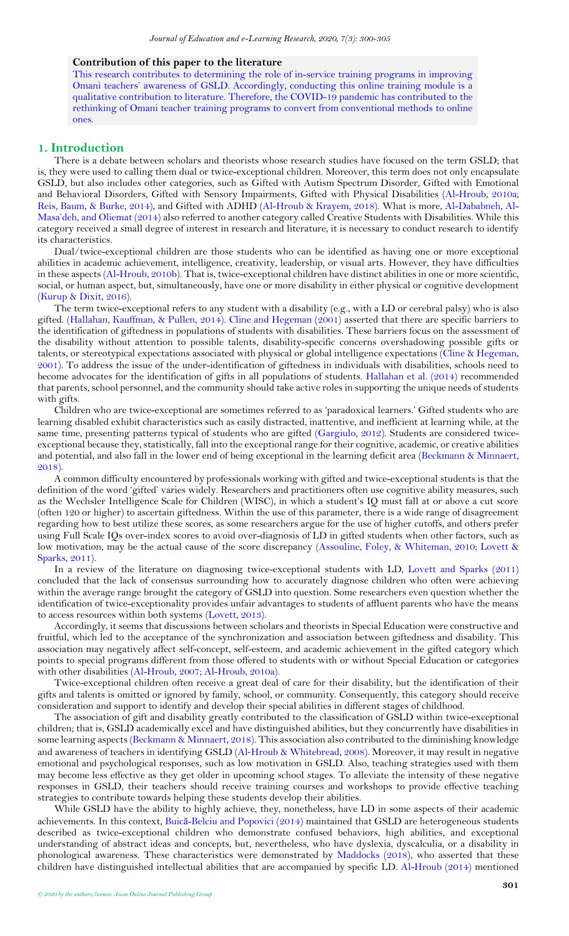#### **Contribution of this paper to the literature**

This research contributes to determining the role of in-service training programs in improving Omani teachers' awareness of GSLD. Accordingly, conducting this online training module is a qualitative contribution to literature. Therefore, the COVID-19 pandemic has contributed to the rethinking of Omani teacher training programs to convert from conventional methods to online ones.

#### <span id="page-1-0"></span>**1. Introduction**

There is a debate between scholars and theorists whose research studies have focused on the term GSLD; that is, they were used to calling them dual or twice-exceptional children. Moreover, this term does not only encapsulate GSLD, but also includes other categories, such as Gifted with Autism Spectrum Disorder, Gifted with Emotional and Behavioral Disorders, Gifted with Sensory Impairments, Gifted with Physical Disabilities [\(Al-Hroub,](#page-5-1) 2010a; [Reis, Baum, & Burke, 2014\)](#page-5-2), and Gifted with ADHD [\(Al-Hroub & Krayem, 2018\)](#page-5-3). What is more, [Al-Dababneh, Al-](#page-5-4)Masa'deh, an[d Oliemat \(2014\)](#page-5-4) also referred to another category called Creative Students with Disabilities. While this category received a small degree of interest in research and literature, it is necessary to conduct research to identify its characteristics.

Dual/twice-exceptional children are those students who can be identified as having one or more exceptional abilities in academic achievement, intelligence, creativity, leadership, or visual arts. However, they have difficulties in these aspects[\(Al-Hroub, 2010b\)](#page-5-5). That is, twice-exceptional children have distinct abilities in one or more scientific, social, or human aspect, but, simultaneously, have one or more disability in either physical or cognitive development [\(Kurup & Dixit, 2016\)](#page-5-6).

The term twice-exceptional refers to any student with a disability (e.g., with a LD or cerebral palsy) who is also gifted. [\(Hallahan, Kauffman, & Pullen, 2014\)](#page-5-7). [Cline and Hegeman \(2001\)](#page-5-8) asserted that there are specific barriers to the identification of giftedness in populations of students with disabilities. These barriers focus on the assessment of the disability without attention to possible talents, disability-specific concerns overshadowing possible gifts or talents, or stereotypical expectations associated with physical or global intelligence expectations [\(Cline & Hegeman,](#page-5-8)  [2001\)](#page-5-8). To address the issue of the under-identification of giftedness in individuals with disabilities, schools need to become advocates for the identification of gifts in all populations of students. [Hallahan et al. \(2014\)](#page-5-7) recommended that parents, school personnel, and the community should take active rolesin supporting the unique needs of students with gifts.

Children who are twice-exceptional are sometimes referred to as 'paradoxical learners.' Gifted students who are learning disabled exhibit characteristics such as easily distracted, inattentive, and inefficient at learning while, at the same time, presenting patterns typical of students who are gifted [\(Gargiulo, 2012\)](#page-5-9). Students are considered twiceexceptional because they, statistically, fall into the exceptional range for their cognitive, academic, or creative abilities and potential, and also fall in the lower end of being exceptional in the learning deficit area [\(Beckmann & Minnaert,](#page-5-10)  [2018\)](#page-5-10).

A common difficulty encountered by professionals working with gifted and twice-exceptional students is that the definition of the word 'gifted' varies widely. Researchers and practitioners often use cognitive ability measures, such as the Wechsler Intelligence Scale for Children (WISC), in which a student's IQ must fall at or above a cut score (often 120 or higher) to ascertain giftedness. Within the use of this parameter, there is a wide range of disagreement regarding how to best utilize these scores, as some researchers argue for the use of higher cutoffs, and others prefer using Full Scale IQs over-index scores to avoid over-diagnosis of LD in gifted students when other factors, such as low motivation, may be the actual cause of the score discrepancy [\(Assouline, Foley, & Whiteman, 2010;](#page-5-11) [Lovett &](#page-5-12)  [Sparks, 2011\)](#page-5-12).

In a review of the literature on diagnosing twice-exceptional students with LD, [Lovett and Sparks \(2011\)](#page-5-12) concluded that the lack of consensus surrounding how to accurately diagnose children who often were achieving within the average range brought the category of GSLD into question. Some researchers even question whether the identification of twice-exceptionality provides unfair advantages to students of affluent parents who have the means to access resources within both systems [\(Lovett, 2013\)](#page-5-13).

Accordingly, it seems that discussions between scholars and theorists in Special Education were constructive and fruitful, which led to the acceptance of the synchronization and association between giftedness and disability. This association may negatively affect self-concept, self-esteem, and academic achievement in the gifted category which points to special programs different from those offered to students with or without Special Education or categories with other disabilities [\(Al-Hroub, 2007;](#page-5-14) [Al-Hroub,](#page-5-1) 2010a).

Twice-exceptional children often receive a great deal of care for their disability, but the identification of their gifts and talents is omitted or ignored by family, school, or community. Consequently, this category should receive consideration and support to identify and develop their special abilities in different stages of childhood.

The association of gift and disability greatly contributed to the classification of GSLD within twice-exceptional children; that is, GSLD academically excel and have distinguished abilities, but they concurrently have disabilities in some learning aspects [\(Beckmann & Minnaert, 2018\)](#page-5-10). This association also contributed to the diminishing knowledge and awareness of teachers in identifying GSLD (Al-[Hroub & Whitebread, 2008\)](#page-5-15). Moreover, it may result in negative emotional and psychological responses, such as low motivation in GSLD. Also, teaching strategies used with them may become less effective as they get older in upcoming school stages. To alleviate the intensity of these negative responses in GSLD, their teachers should receive training courses and workshops to provide effective teaching strategies to contribute towards helping these students develop their abilities.

While GSLD have the ability to highly achieve, they, nonetheless, have LD in some aspects of their academic achievements. In this context, Buică[-Belciu and Popovici \(2014\)](#page-5-16) maintained that GSLD are heterogeneous students described as twice-exceptional children who demonstrate confused behaviors, high abilities, and exceptional understanding of abstract ideas and concepts, but, nevertheless, who have dyslexia, dyscalculia, or a disability in phonological awareness. These characteristics were demonstrated by [Maddocks \(2018\)](#page-5-17), who asserted that these children have distinguished intellectual abilities that are accompanied by specific LD. [Al-Hroub \(2014\)](#page-5-18) mentioned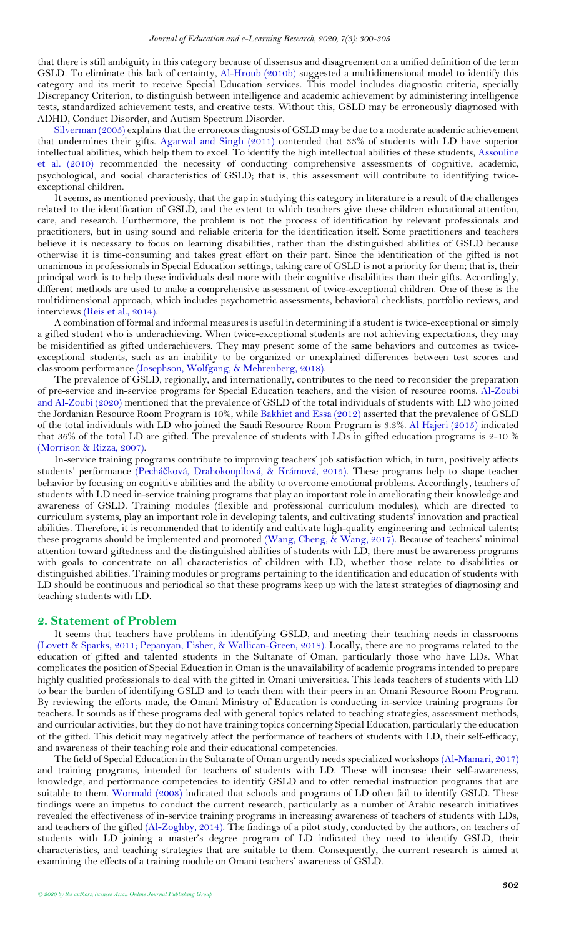that there is still ambiguity in this category because of dissensus and disagreement on a unified definition of the term GSLD. To eliminate this lack of certainty, [Al-Hroub](#page-5-5) (2010b) suggested a multidimensional model to identify this category and its merit to receive Special Education services. This model includes diagnostic criteria, specially Discrepancy Criterion, to distinguish between intelligence and academic achievement by administering intelligence tests, standardized achievement tests, and creative tests. Without this, GSLD may be erroneously diagnosed with ADHD, Conduct Disorder, and Autism Spectrum Disorder.

[Silverman \(2005\)](#page-5-19) explains that the erroneous diagnosis of GSLD may be due to a moderate academic achievement that undermines their gifts. [Agarwal and Singh \(2011\)](#page-5-20) contended that 33% of students with LD have superior intellectual abilities, which help them to excel. To identify the high intellectual abilities of these students, [Assouline](#page-5-11)  [et al. \(2010\)](#page-5-11) recommended the necessity of conducting comprehensive assessments of cognitive, academic, psychological, and social characteristics of GSLD; that is, this assessment will contribute to identifying twiceexceptional children.

It seems, as mentioned previously, that the gap in studying this category in literature is a result of the challenges related to the identification of GSLD, and the extent to which teachers give these children educational attention, care, and research. Furthermore, the problem is not the process of identification by relevant professionals and practitioners, but in using sound and reliable criteria for the identification itself. Some practitioners and teachers believe it is necessary to focus on learning disabilities, rather than the distinguished abilities of GSLD because otherwise it is time-consuming and takes great effort on their part. Since the identification of the gifted is not unanimous in professionals in Special Education settings, taking care of GSLD is not a priority for them; that is, their principal work is to help these individuals deal more with their cognitive disabilities than their gifts. Accordingly, different methods are used to make a comprehensive assessment of twice-exceptional children. One of these is the multidimensional approach, which includes psychometric assessments, behavioral checklists, portfolio reviews, and interviews [\(Reis et al., 2014\)](#page-5-2).

A combination of formal and informal measures is useful in determining if a student is twice-exceptional or simply a gifted student who is underachieving. When twice-exceptional students are not achieving expectations, they may be misidentified as gifted underachievers. They may present some of the same behaviors and outcomes as twiceexceptional students, such as an inability to be organized or unexplained differences between test scores and classroom performance [\(Josephson, Wolfgang, & Mehrenberg, 2018\)](#page-5-21).

The prevalence of GSLD, regionally, and internationally, contributes to the need to reconsider the preparation of pre-service and in-service programs for Special Education teachers, and the vision of resource rooms. [Al-Zoubi](#page-5-22)  [and Al-Zoubi \(2020\)](#page-5-22) mentioned that the prevalence of GSLD of the total individuals of students with LD who joined the Jordanian Resource Room Program is 10%, while [Bakhiet and Essa \(2012\)](#page-5-23) asserted that the prevalence of GSLD of the total individuals with LD who joined the Saudi Resource Room Program is 3.3%. [Al Hajeri \(2015\)](#page-5-24) indicated that 36% of the total LD are gifted. The prevalence of students with LDs in gifted education programs is 2-10 % [\(Morrison & Rizza, 2007\)](#page-5-25).

In-service training programs contribute to improving teachers' job satisfaction which, in turn, positively affects students' performance (Pecháč[ková, Drahokoupilová, & Krámová, 2015\)](#page-5-26). These programs help to shape teacher behavior by focusing on cognitive abilities and the ability to overcome emotional problems. Accordingly, teachers of students with LD need in-service training programs that play an important role in ameliorating their knowledge and awareness of GSLD. Training modules (flexible and professional curriculum modules), which are directed to curriculum systems, play an important role in developing talents, and cultivating students' innovation and practical abilities. Therefore, it is recommended that to identify and cultivate high-quality engineering and technical talents; these programs should be implemented and promoted [\(Wang, Cheng, & Wang, 2017\)](#page-5-27). Because of teachers' minimal attention toward giftedness and the distinguished abilities of students with LD, there must be awareness programs with goals to concentrate on all characteristics of children with LD, whether those relate to disabilities or distinguished abilities. Training modules or programs pertaining to the identification and education of students with LD should be continuous and periodical so that these programs keep up with the latest strategies of diagnosing and teaching students with LD.

## <span id="page-2-0"></span>**2. Statement of Problem**

It seems that teachers have problems in identifying GSLD, and meeting their teaching needs in classrooms [\(Lovett & Sparks, 2011;](#page-5-12) [Pepanyan, Fisher, & Wallican-Green, 2018\)](#page-5-28). Locally, there are no programs related to the education of gifted and talented students in the Sultanate of Oman, particularly those who have LDs. What complicates the position of Special Education in Oman is the unavailability of academic programs intended to prepare highly qualified professionals to deal with the gifted in Omani universities. This leads teachers of students with LD to bear the burden of identifying GSLD and to teach them with their peers in an Omani Resource Room Program. By reviewing the efforts made, the Omani Ministry of Education is conducting in-service training programs for teachers. It sounds as if these programs deal with general topics related to teaching strategies, assessment methods, and curricular activities, but they do not have training topics concerning Special Education, particularly the education of the gifted. This deficit may negatively affect the performance of teachers of students with LD, their self-efficacy, and awareness of their teaching role and their educational competencies.

The field of Special Education in the Sultanate of Oman urgently needs specialized workshops [\(Al-Mamari, 2017\)](#page-5-29) and training programs, intended for teachers of students with LD. These will increase their self-awareness, knowledge, and performance competencies to identify GSLD and to offer remedial instruction programs that are suitable to them. [Wormald \(2008\)](#page-5-30) indicated that schools and programs of LD often fail to identify GSLD. These findings were an impetus to conduct the current research, particularly as a number of Arabic research initiatives revealed the effectiveness of in-service training programs in increasing awareness of teachers of students with LDs, and teachers of the gifted [\(Al-Zoghby, 2014\)](#page-5-31). The findings of a pilot study, conducted by the authors, on teachers of students with LD joining a master's degree program of LD indicated they need to identify GSLD, their characteristics, and teaching strategies that are suitable to them. Consequently, the current research is aimed at examining the effects of a training module on Omani teachers' awareness of GSLD.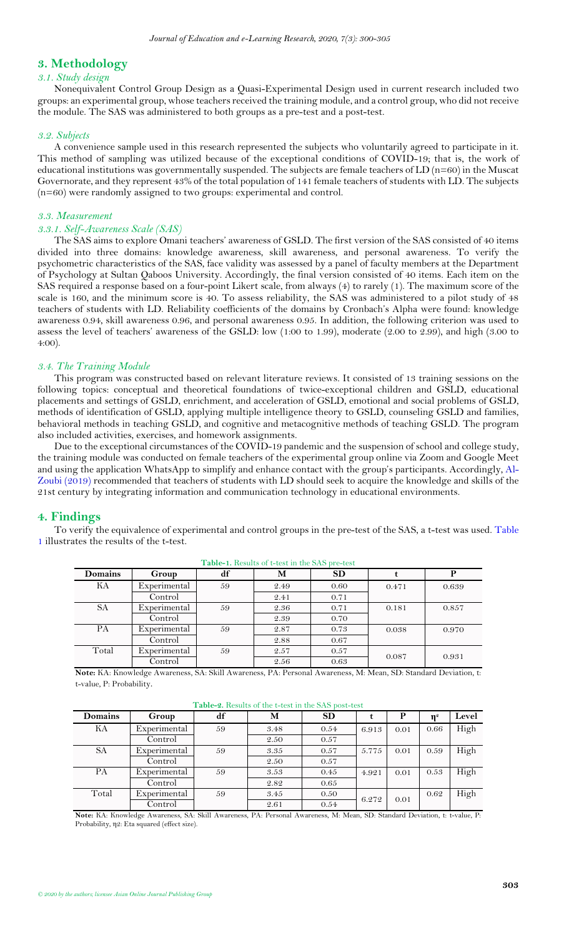# <span id="page-3-0"></span>**3. Methodology**

#### *3.1. Study design*

Nonequivalent Control Group Design as a Quasi-Experimental Design used in current research included two groups: an experimental group, whose teachers received the training module, and a control group, who did notreceive the module. The SAS was administered to both groups as a pre-test and a post-test.

## *3.2. Subjects*

A convenience sample used in this research represented the subjects who voluntarily agreed to participate in it. This method of sampling was utilized because of the exceptional conditions of COVID-19; that is, the work of educational institutions was governmentally suspended. The subjects are female teachers of  $LD(n=60)$  in the Muscat Governorate, and they represent 43% of the total population of 141 female teachers of students with LD. The subjects (n=60) were randomly assigned to two groups: experimental and control.

## *3.3. Measurement*

## *3.3.1. Self-Awareness Scale (SAS)*

The SAS aims to explore Omani teachers' awareness of GSLD. The first version of the SAS consisted of 40 items divided into three domains: knowledge awareness, skill awareness, and personal awareness. To verify the psychometric characteristics of the SAS, face validity was assessed by a panel of faculty members at the Department of Psychology at Sultan Qaboos University. Accordingly, the final version consisted of 40 items. Each item on the SAS required a response based on a four-point Likert scale, from always (4) to rarely (1). The maximum score of the scale is 160, and the minimum score is 40. To assess reliability, the SAS was administered to a pilot study of 48 teachers of students with LD. Reliability coefficients of the domains by Cronbach's Alpha were found: knowledge awareness 0.94, skill awareness 0.96, and personal awareness 0.95. In addition, the following criterion was used to assess the level of teachers' awareness of the GSLD: low (1:00 to 1.99), moderate (2.00 to 2.99), and high (3.00 to 4:00).

## *3.4. The Training Module*

This program was constructed based on relevant literature reviews. It consisted of 13 training sessions on the following topics: conceptual and theoretical foundations of twice-exceptional children and GSLD, educational placements and settings of GSLD, enrichment, and acceleration of GSLD, emotional and social problems of GSLD, methods of identification of GSLD, applying multiple intelligence theory to GSLD, counseling GSLD and families, behavioral methods in teaching GSLD, and cognitive and metacognitive methods of teaching GSLD. The program also included activities, exercises, and homework assignments.

Due to the exceptional circumstances of the COVID-19 pandemic and the suspension of school and college study, the training module was conducted on female teachers of the experimental group online via Zoom and Google Meet and using the application WhatsApp to simplify and enhance contact with the group's participants. Accordingly[, Al-](#page-5-32)[Zoubi \(2019\)](#page-5-32) recommended that teachers of students with LD should seek to acquire the knowledge and skills of the 21st century by integrating information and communication technology in educational environments.

# <span id="page-3-1"></span>**4. Findings**

<span id="page-3-2"></span>To verify the equivalence of experimental and control groups in the pre-test of the SAS, a t-test was used. [Table](#page-3-2)  [1](#page-3-2) illustrates the results of the t-test.

| a www.av.aiavww.navw.wa.v.verw.na.va.v.v.av.wav.verw.v |              |    |      |           |       |       |  |  |  |
|--------------------------------------------------------|--------------|----|------|-----------|-------|-------|--|--|--|
| <b>Domains</b>                                         | Group        | df | M    | <b>SD</b> |       | P     |  |  |  |
| KА                                                     | Experimental | 59 | 2.49 | 0.60      | 0.471 | 0.639 |  |  |  |
|                                                        | Control      |    | 2.41 | 0.71      |       |       |  |  |  |
| <b>SA</b>                                              | Experimental | 59 | 2.36 | 0.71      | 0.181 | 0.857 |  |  |  |
|                                                        | Control      |    | 2.39 | 0.70      |       |       |  |  |  |
| <b>PA</b>                                              | Experimental | 59 | 2.87 | 0.73      | 0.038 | 0.970 |  |  |  |
|                                                        | Control      |    | 2.88 | 0.67      |       |       |  |  |  |
| Total                                                  | Experimental | 59 | 2.57 | 0.57      |       |       |  |  |  |
|                                                        | Control      |    | 2.56 | 0.63      | 0.087 | 0.931 |  |  |  |

**Table-1.** Results of t-test in the SAS pre-test

**Note:** KA: Knowledge Awareness, SA: Skill Awareness, PA: Personal Awareness, M: Mean, SD: Standard Deviation, t: t-value, P: Probability.

<span id="page-3-3"></span>

| <b>Table-2.</b> Results of the t-test in the SAS post-test |              |    |      |           |       |      |                |       |  |  |
|------------------------------------------------------------|--------------|----|------|-----------|-------|------|----------------|-------|--|--|
| Domains                                                    | Group        | df | M    | <b>SD</b> | t     | P    | $\mathbf{n}^2$ | Level |  |  |
| KА                                                         | Experimental | 59 | 3.48 | 0.54      | 6.913 | 0.01 | 0.66           | High  |  |  |
|                                                            | Control      |    | 2.50 | 0.57      |       |      |                |       |  |  |
| <b>SA</b>                                                  | Experimental | 59 | 3.35 | 0.57      | 5.775 | 0.01 | 0.59           | High  |  |  |
|                                                            | Control      |    | 2.50 | 0.57      |       |      |                |       |  |  |
| PA                                                         | Experimental | 59 | 3.53 | 0.45      | 4.921 | 0.01 | 0.53           | High  |  |  |
|                                                            | Control      |    | 2.82 | 0.65      |       |      |                |       |  |  |
| Total                                                      | Experimental | 59 | 3.45 | 0.50      | 6.272 | 0.01 | 0.62           | High  |  |  |
|                                                            | Control      |    | 2.61 | 0.54      |       |      |                |       |  |  |

# **Table-2.** Results of the t-test in the SAS post-test

**Note:** KA: Knowledge Awareness, SA: Skill Awareness, PA: Personal Awareness, M: Mean, SD: Standard Deviation, t: t-value, P: Probability, η2: Eta squared (effect size).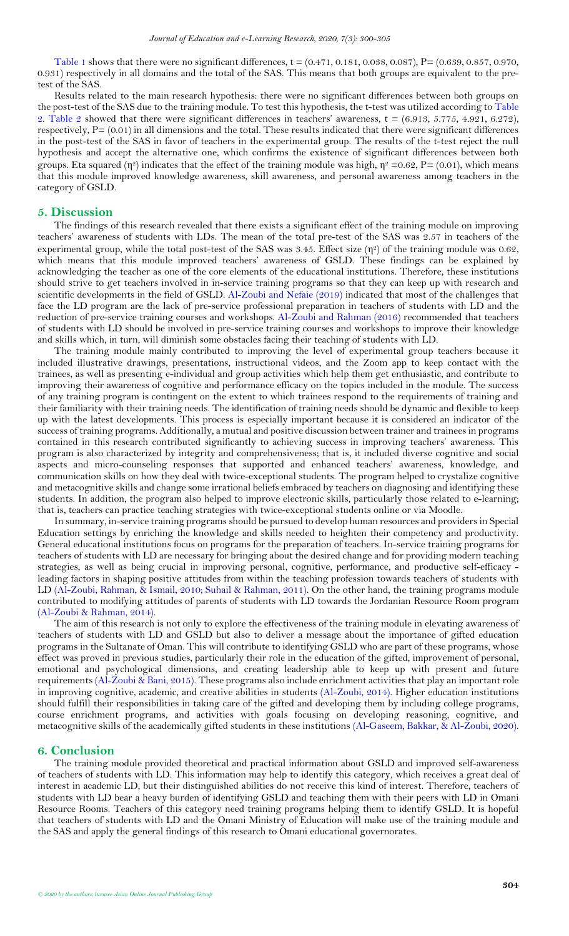[Table 1](#page-3-2) shows that there were no significant differences,  $t = (0.471, 0.181, 0.038, 0.087)$ ,  $P = (0.639, 0.857, 0.970, 0.970, 0.970, 0.970, 0.970, 0.970, 0.970, 0.970, 0.970, 0.970, 0.970, 0.970, 0.970, 0.970, 0.970, 0.970,$ 0.931) respectively in all domains and the total of the SAS. This means that both groups are equivalent to the pretest of the SAS.

Results related to the main research hypothesis: there were no significant differences between both groups on the post-test of the SAS due to the training module. To test this hypothesis, the t-test was utilized according to Table [2.](#page-3-3) [Table 2](#page-3-3) showed that there were significant differences in teachers' awareness,  $t = (6.913, 5.775, 4.921, 6.272)$ , respectively,  $P = (0.01)$  in all dimensions and the total. These results indicated that there were significant differences in the post-test of the SAS in favor of teachers in the experimental group. The results of the t-test reject the null hypothesis and accept the alternative one, which confirms the existence of significant differences between both groups. Eta squared (η<sup>2</sup>) indicates that the effect of the training module was high,  $\eta^2 = 0.62$ ,  $P = (0.01)$ , which means that this module improved knowledge awareness, skill awareness, and personal awareness among teachers in the category of GSLD.

#### <span id="page-4-0"></span>**5. Discussion**

The findings of this research revealed that there exists a significant effect of the training module on improving teachers' awareness of students with LDs. The mean of the total pre-test of the SAS was 2.57 in teachers of the experimental group, while the total post-test of the SAS was 3.45. Effect size  $(\eta^2)$  of the training module was 0.62, which means that this module improved teachers' awareness of GSLD. These findings can be explained by acknowledging the teacher as one of the core elements of the educational institutions. Therefore, these institutions should strive to get teachers involved in in-service training programs so that they can keep up with research and scientific developments in the field of GSLD. Al-Zoubi [and Nefaie \(2019\)](#page-5-33) indicated that most of the challenges that face the LD program are the lack of pre-service professional preparation in teachers of students with LD and the reduction of pre-service training courses and workshops. Al-Zoubi [and Rahman \(2016\)](#page-5-34) recommended that teachers of students with LD should be involved in pre-service training courses and workshops to improve their knowledge and skills which, in turn, will diminish some obstacles facing their teaching of students with LD.

The training module mainly contributed to improving the level of experimental group teachers because it included illustrative drawings, presentations, instructional videos, and the Zoom app to keep contact with the trainees, as well as presenting e-individual and group activities which help them get enthusiastic, and contribute to improving their awareness of cognitive and performance efficacy on the topics included in the module. The success of any training program is contingent on the extent to which trainees respond to the requirements of training and their familiarity with their training needs. The identification of training needs should be dynamic and flexible to keep up with the latest developments. This process is especially important because it is considered an indicator of the success of training programs. Additionally, a mutual and positive discussion between trainer and trainees in programs contained in this research contributed significantly to achieving success in improving teachers' awareness. This program is also characterized by integrity and comprehensiveness; that is, it included diverse cognitive and social aspects and micro-counseling responses that supported and enhanced teachers' awareness, knowledge, and communication skills on how they deal with twice-exceptional students. The program helped to crystalize cognitive and metacognitive skills and change some irrational beliefs embraced by teachers on diagnosing and identifying these students. In addition, the program also helped to improve electronic skills, particularly those related to e-learning; that is, teachers can practice teaching strategies with twice-exceptional students online or via Moodle.

In summary, in-service training programs should be pursued to develop human resources and providers in Special Education settings by enriching the knowledge and skills needed to heighten their competency and productivity. General educational institutions focus on programs for the preparation of teachers. In-service training programs for teachers of students with LD are necessary for bringing about the desired change and for providing modern teaching strategies, as well as being crucial in improving personal, cognitive, performance, and productive self-efficacy leading factors in shaping positive attitudes from within the teaching profession towards teachers of students with LD [\(Al-Zoubi, Rahman, & Ismail, 2010;](#page-5-35) [Suhail & Rahman, 2011\)](#page-5-36). On the other hand, the training programs module contributed to modifying attitudes of parents of students with LD towards the Jordanian Resource Room program (Al-Zoubi [& Rahman, 2014\)](#page-5-37).

The aim of this research is not only to explore the effectiveness of the training module in elevating awareness of teachers of students with LD and GSLD but also to deliver a message about the importance of gifted education programs in the Sultanate of Oman. This will contribute to identifying GSLD who are part of these programs, whose effect was proved in previous studies, particularly their role in the education of the gifted, improvement of personal, emotional and psychological dimensions, and creating leadership able to keep up with present and future requirements (Al-Zoubi [& Bani, 2015\)](#page-5-38). These programs also include enrichment activities that play an important role in improving cognitive, academic, and creative abilities in students [\(Al-Zoubi,](#page-5-39) 2014). Higher education institutions should fulfill their responsibilities in taking care of the gifted and developing them by including college programs, course enrichment programs, and activities with goals focusing on developing reasoning, cognitive, and metacognitive skills of the academically gifted students in these institutions [\(Al-Gaseem, Bakkar, & Al-Zoubi, 2020\)](#page-5-40).

## <span id="page-4-1"></span>**6. Conclusion**

The training module provided theoretical and practical information about GSLD and improved self-awareness of teachers of students with LD. This information may help to identify this category, which receives a great deal of interest in academic LD, but their distinguished abilities do not receive this kind of interest. Therefore, teachers of students with LD bear a heavy burden of identifying GSLD and teaching them with their peers with LD in Omani Resource Rooms. Teachers of this category need training programs helping them to identify GSLD. It is hopeful that teachers of students with LD and the Omani Ministry of Education will make use of the training module and the SAS and apply the general findings of this research to Omani educational governorates.